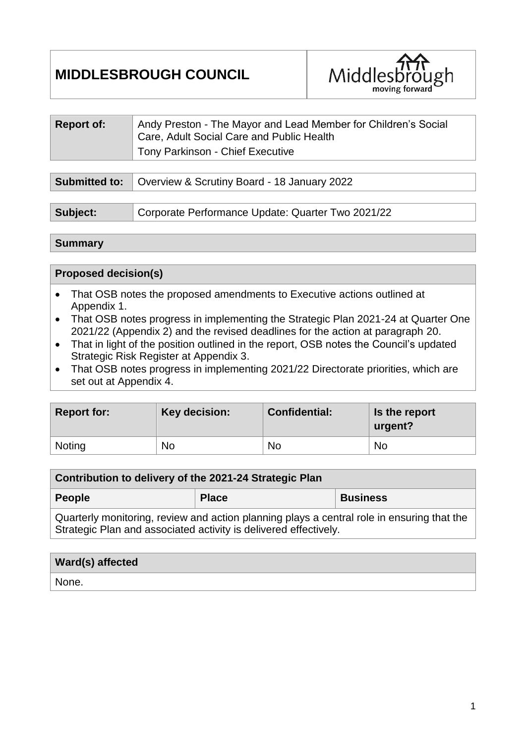# **MIDDLESBROUGH COUNCIL**



| <b>Report of:</b>    | Andy Preston - The Mayor and Lead Member for Children's Social<br>Care, Adult Social Care and Public Health<br><b>Tony Parkinson - Chief Executive</b> |
|----------------------|--------------------------------------------------------------------------------------------------------------------------------------------------------|
|                      |                                                                                                                                                        |
| <b>Submitted to:</b> | Overview & Scrutiny Board - 18 January 2022                                                                                                            |

#### **Summary**

#### **Proposed decision(s)**

- That OSB notes the proposed amendments to Executive actions outlined at Appendix 1.
- That OSB notes progress in implementing the Strategic Plan 2021-24 at Quarter One 2021/22 (Appendix 2) and the revised deadlines for the action at paragraph 20.
- That in light of the position outlined in the report, OSB notes the Council's updated Strategic Risk Register at Appendix 3.
- That OSB notes progress in implementing 2021/22 Directorate priorities, which are set out at Appendix 4.

| <b>Report for:</b> | Key decision: | <b>Confidential:</b> | Is the report<br>urgent? |
|--------------------|---------------|----------------------|--------------------------|
| Noting             | No            | No                   | No                       |

| Contribution to delivery of the 2021-24 Strategic Plan                                                                                                         |              |                 |  |  |
|----------------------------------------------------------------------------------------------------------------------------------------------------------------|--------------|-----------------|--|--|
| People                                                                                                                                                         | <b>Place</b> | <b>Business</b> |  |  |
| Quarterly monitoring, review and action planning plays a central role in ensuring that the<br>Strategic Plan and associated activity is delivered effectively. |              |                 |  |  |

| <b>Ward(s) affected</b> |  |
|-------------------------|--|
| None.                   |  |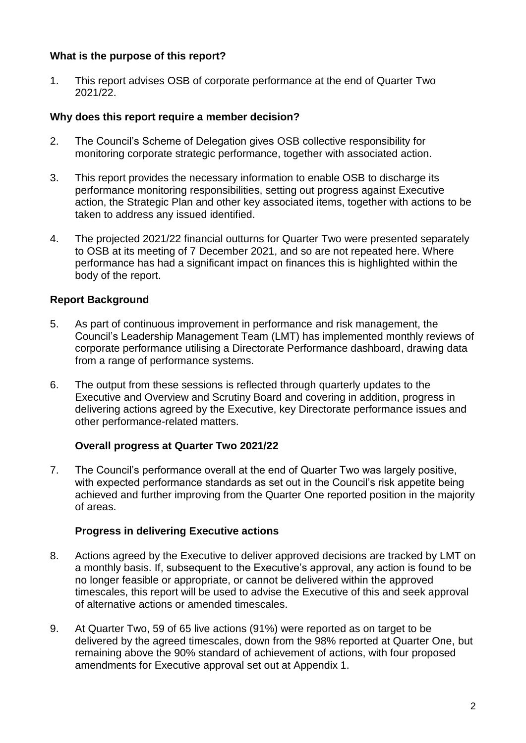## **What is the purpose of this report?**

1. This report advises OSB of corporate performance at the end of Quarter Two 2021/22.

#### **Why does this report require a member decision?**

- 2. The Council's Scheme of Delegation gives OSB collective responsibility for monitoring corporate strategic performance, together with associated action.
- 3. This report provides the necessary information to enable OSB to discharge its performance monitoring responsibilities, setting out progress against Executive action, the Strategic Plan and other key associated items, together with actions to be taken to address any issued identified.
- 4. The projected 2021/22 financial outturns for Quarter Two were presented separately to OSB at its meeting of 7 December 2021, and so are not repeated here. Where performance has had a significant impact on finances this is highlighted within the body of the report.

#### **Report Background**

- 5. As part of continuous improvement in performance and risk management, the Council's Leadership Management Team (LMT) has implemented monthly reviews of corporate performance utilising a Directorate Performance dashboard, drawing data from a range of performance systems.
- 6. The output from these sessions is reflected through quarterly updates to the Executive and Overview and Scrutiny Board and covering in addition, progress in delivering actions agreed by the Executive, key Directorate performance issues and other performance-related matters.

#### **Overall progress at Quarter Two 2021/22**

7. The Council's performance overall at the end of Quarter Two was largely positive, with expected performance standards as set out in the Council's risk appetite being achieved and further improving from the Quarter One reported position in the majority of areas.

#### **Progress in delivering Executive actions**

- 8. Actions agreed by the Executive to deliver approved decisions are tracked by LMT on a monthly basis. If, subsequent to the Executive's approval, any action is found to be no longer feasible or appropriate, or cannot be delivered within the approved timescales, this report will be used to advise the Executive of this and seek approval of alternative actions or amended timescales.
- 9. At Quarter Two, 59 of 65 live actions (91%) were reported as on target to be delivered by the agreed timescales, down from the 98% reported at Quarter One, but remaining above the 90% standard of achievement of actions, with four proposed amendments for Executive approval set out at Appendix 1.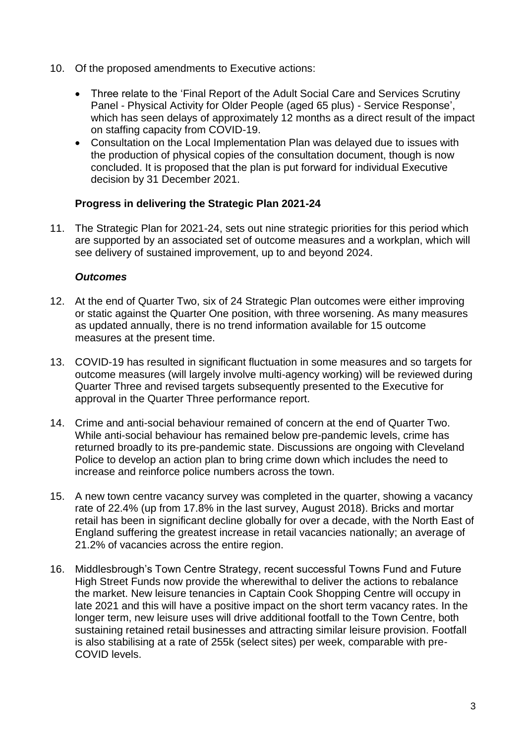- 10. Of the proposed amendments to Executive actions:
	- Three relate to the 'Final Report of the Adult Social Care and Services Scrutiny Panel - Physical Activity for Older People (aged 65 plus) - Service Response', which has seen delays of approximately 12 months as a direct result of the impact on staffing capacity from COVID-19.
	- Consultation on the Local Implementation Plan was delayed due to issues with the production of physical copies of the consultation document, though is now concluded. It is proposed that the plan is put forward for individual Executive decision by 31 December 2021.

## **Progress in delivering the Strategic Plan 2021-24**

11. The Strategic Plan for 2021-24, sets out nine strategic priorities for this period which are supported by an associated set of outcome measures and a workplan, which will see delivery of sustained improvement, up to and beyond 2024.

## *Outcomes*

- 12. At the end of Quarter Two, six of 24 Strategic Plan outcomes were either improving or static against the Quarter One position, with three worsening. As many measures as updated annually, there is no trend information available for 15 outcome measures at the present time.
- 13. COVID-19 has resulted in significant fluctuation in some measures and so targets for outcome measures (will largely involve multi-agency working) will be reviewed during Quarter Three and revised targets subsequently presented to the Executive for approval in the Quarter Three performance report.
- 14. Crime and anti-social behaviour remained of concern at the end of Quarter Two. While anti-social behaviour has remained below pre-pandemic levels, crime has returned broadly to its pre-pandemic state. Discussions are ongoing with Cleveland Police to develop an action plan to bring crime down which includes the need to increase and reinforce police numbers across the town.
- 15. A new town centre vacancy survey was completed in the quarter, showing a vacancy rate of 22.4% (up from 17.8% in the last survey, August 2018). Bricks and mortar retail has been in significant decline globally for over a decade, with the North East of England suffering the greatest increase in retail vacancies nationally; an average of 21.2% of vacancies across the entire region.
- 16. Middlesbrough's Town Centre Strategy, recent successful Towns Fund and Future High Street Funds now provide the wherewithal to deliver the actions to rebalance the market. New leisure tenancies in Captain Cook Shopping Centre will occupy in late 2021 and this will have a positive impact on the short term vacancy rates. In the longer term, new leisure uses will drive additional footfall to the Town Centre, both sustaining retained retail businesses and attracting similar leisure provision. Footfall is also stabilising at a rate of 255k (select sites) per week, comparable with pre-COVID levels.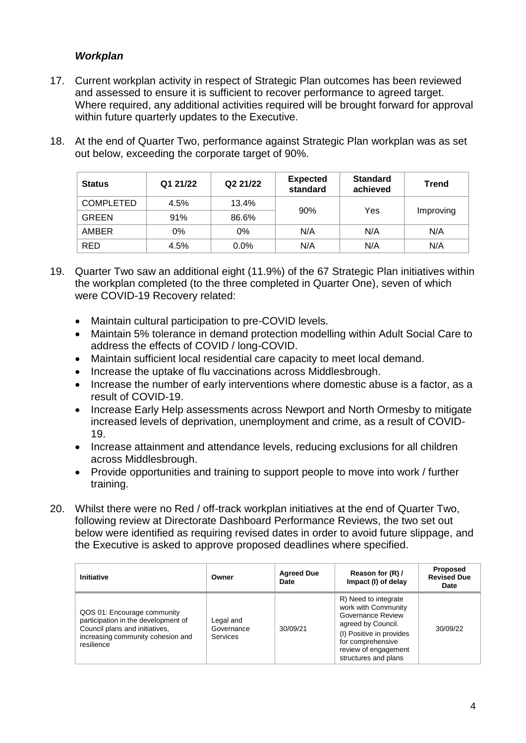## *Workplan*

- 17. Current workplan activity in respect of Strategic Plan outcomes has been reviewed and assessed to ensure it is sufficient to recover performance to agreed target. Where required, any additional activities required will be brought forward for approval within future quarterly updates to the Executive.
- 18. At the end of Quarter Two, performance against Strategic Plan workplan was as set out below, exceeding the corporate target of 90%.

| <b>Status</b>    | Q1 21/22 | Q2 21/22 | <b>Expected</b><br>standard | <b>Standard</b><br>achieved | <b>Trend</b> |
|------------------|----------|----------|-----------------------------|-----------------------------|--------------|
| <b>COMPLETED</b> | 4.5%     | 13.4%    | 90%                         | Yes                         | Improving    |
| <b>GREEN</b>     | 91%      | 86.6%    |                             |                             |              |
| <b>AMBER</b>     | 0%       | 0%       | N/A                         | N/A                         | N/A          |
| <b>RED</b>       | 4.5%     | $0.0\%$  | N/A                         | N/A                         | N/A          |

- 19. Quarter Two saw an additional eight (11.9%) of the 67 Strategic Plan initiatives within the workplan completed (to the three completed in Quarter One), seven of which were COVID-19 Recovery related:
	- Maintain cultural participation to pre-COVID levels.
	- Maintain 5% tolerance in demand protection modelling within Adult Social Care to address the effects of COVID / long-COVID.
	- Maintain sufficient local residential care capacity to meet local demand.
	- Increase the uptake of flu vaccinations across Middlesbrough.
	- Increase the number of early interventions where domestic abuse is a factor, as a result of COVID-19.
	- Increase Early Help assessments across Newport and North Ormesby to mitigate increased levels of deprivation, unemployment and crime, as a result of COVID-19.
	- Increase attainment and attendance levels, reducing exclusions for all children across Middlesbrough.
	- Provide opportunities and training to support people to move into work / further training.
- 20. Whilst there were no Red / off-track workplan initiatives at the end of Quarter Two, following review at Directorate Dashboard Performance Reviews, the two set out below were identified as requiring revised dates in order to avoid future slippage, and the Executive is asked to approve proposed deadlines where specified.

| Initiative                                                                                                                                              | Owner                               | <b>Agreed Due</b><br>Date | Reason for (R) /<br>Impact (I) of delay                                                                                                                                                 | Proposed<br><b>Revised Due</b><br>Date |
|---------------------------------------------------------------------------------------------------------------------------------------------------------|-------------------------------------|---------------------------|-----------------------------------------------------------------------------------------------------------------------------------------------------------------------------------------|----------------------------------------|
| QOS 01: Encourage community<br>participation in the development of<br>Council plans and initiatives,<br>increasing community cohesion and<br>resilience | Legal and<br>Governance<br>Services | 30/09/21                  | R) Need to integrate<br>work with Community<br>Governance Review<br>agreed by Council.<br>(I) Positive in provides<br>for comprehensive<br>review of engagement<br>structures and plans | 30/09/22                               |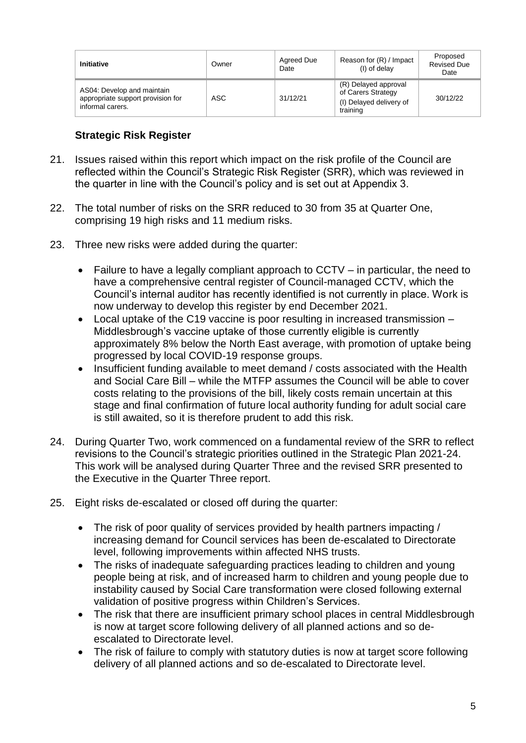| <b>Initiative</b>                                                                   | Owner      | Agreed Due<br>Date | Reason for (R) / Impact<br>(I) of delay                                           | Proposed<br><b>Revised Due</b><br>Date |
|-------------------------------------------------------------------------------------|------------|--------------------|-----------------------------------------------------------------------------------|----------------------------------------|
| AS04: Develop and maintain<br>appropriate support provision for<br>informal carers. | <b>ASC</b> | 31/12/21           | (R) Delayed approval<br>of Carers Strategy<br>(I) Delayed delivery of<br>training | 30/12/22                               |

## **Strategic Risk Register**

- 21. Issues raised within this report which impact on the risk profile of the Council are reflected within the Council's Strategic Risk Register (SRR), which was reviewed in the quarter in line with the Council's policy and is set out at Appendix 3.
- 22. The total number of risks on the SRR reduced to 30 from 35 at Quarter One, comprising 19 high risks and 11 medium risks.
- 23. Three new risks were added during the quarter:
	- Failure to have a legally compliant approach to CCTV in particular, the need to have a comprehensive central register of Council-managed CCTV, which the Council's internal auditor has recently identified is not currently in place. Work is now underway to develop this register by end December 2021.
	- Local uptake of the C19 vaccine is poor resulting in increased transmission Middlesbrough's vaccine uptake of those currently eligible is currently approximately 8% below the North East average, with promotion of uptake being progressed by local COVID-19 response groups.
	- Insufficient funding available to meet demand / costs associated with the Health and Social Care Bill – while the MTFP assumes the Council will be able to cover costs relating to the provisions of the bill, likely costs remain uncertain at this stage and final confirmation of future local authority funding for adult social care is still awaited, so it is therefore prudent to add this risk.
- 24. During Quarter Two, work commenced on a fundamental review of the SRR to reflect revisions to the Council's strategic priorities outlined in the Strategic Plan 2021-24. This work will be analysed during Quarter Three and the revised SRR presented to the Executive in the Quarter Three report.
- 25. Eight risks de-escalated or closed off during the quarter:
	- The risk of poor quality of services provided by health partners impacting / increasing demand for Council services has been de-escalated to Directorate level, following improvements within affected NHS trusts.
	- The risks of inadequate safeguarding practices leading to children and young people being at risk, and of increased harm to children and young people due to instability caused by Social Care transformation were closed following external validation of positive progress within Children's Services.
	- The risk that there are insufficient primary school places in central Middlesbrough is now at target score following delivery of all planned actions and so deescalated to Directorate level.
	- The risk of failure to comply with statutory duties is now at target score following delivery of all planned actions and so de-escalated to Directorate level.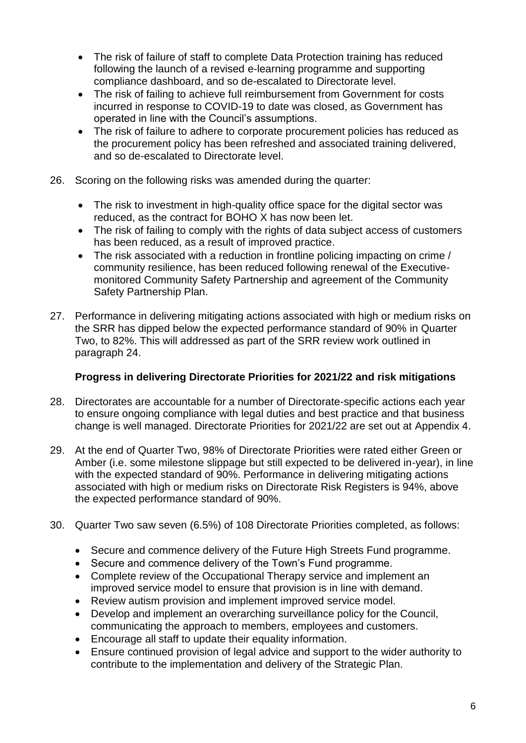- The risk of failure of staff to complete Data Protection training has reduced following the launch of a revised e-learning programme and supporting compliance dashboard, and so de-escalated to Directorate level.
- The risk of failing to achieve full reimbursement from Government for costs incurred in response to COVID-19 to date was closed, as Government has operated in line with the Council's assumptions.
- The risk of failure to adhere to corporate procurement policies has reduced as the procurement policy has been refreshed and associated training delivered, and so de-escalated to Directorate level.
- 26. Scoring on the following risks was amended during the quarter:
	- The risk to investment in high-quality office space for the digital sector was reduced, as the contract for BOHO X has now been let.
	- The risk of failing to comply with the rights of data subject access of customers has been reduced, as a result of improved practice.
	- The risk associated with a reduction in frontline policing impacting on crime / community resilience, has been reduced following renewal of the Executivemonitored Community Safety Partnership and agreement of the Community Safety Partnership Plan.
- 27. Performance in delivering mitigating actions associated with high or medium risks on the SRR has dipped below the expected performance standard of 90% in Quarter Two, to 82%. This will addressed as part of the SRR review work outlined in paragraph 24.

## **Progress in delivering Directorate Priorities for 2021/22 and risk mitigations**

- 28. Directorates are accountable for a number of Directorate-specific actions each year to ensure ongoing compliance with legal duties and best practice and that business change is well managed. Directorate Priorities for 2021/22 are set out at Appendix 4.
- 29. At the end of Quarter Two, 98% of Directorate Priorities were rated either Green or Amber (i.e. some milestone slippage but still expected to be delivered in-year), in line with the expected standard of 90%. Performance in delivering mitigating actions associated with high or medium risks on Directorate Risk Registers is 94%, above the expected performance standard of 90%.
- 30. Quarter Two saw seven (6.5%) of 108 Directorate Priorities completed, as follows:
	- Secure and commence delivery of the Future High Streets Fund programme.
	- Secure and commence delivery of the Town's Fund programme.
	- Complete review of the Occupational Therapy service and implement an improved service model to ensure that provision is in line with demand.
	- Review autism provision and implement improved service model.
	- Develop and implement an overarching surveillance policy for the Council, communicating the approach to members, employees and customers.
	- Encourage all staff to update their equality information.
	- Ensure continued provision of legal advice and support to the wider authority to contribute to the implementation and delivery of the Strategic Plan.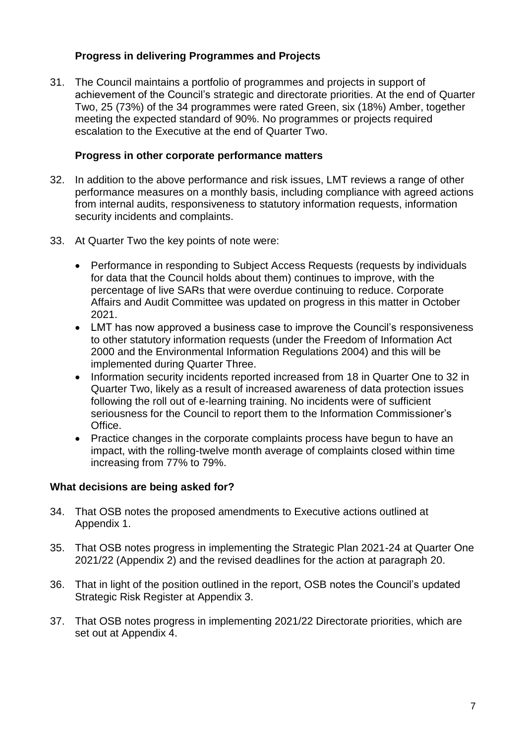## **Progress in delivering Programmes and Projects**

31. The Council maintains a portfolio of programmes and projects in support of achievement of the Council's strategic and directorate priorities. At the end of Quarter Two, 25 (73%) of the 34 programmes were rated Green, six (18%) Amber, together meeting the expected standard of 90%. No programmes or projects required escalation to the Executive at the end of Quarter Two.

#### **Progress in other corporate performance matters**

- 32. In addition to the above performance and risk issues, LMT reviews a range of other performance measures on a monthly basis, including compliance with agreed actions from internal audits, responsiveness to statutory information requests, information security incidents and complaints.
- 33. At Quarter Two the key points of note were:
	- Performance in responding to Subject Access Requests (requests by individuals for data that the Council holds about them) continues to improve, with the percentage of live SARs that were overdue continuing to reduce. Corporate Affairs and Audit Committee was updated on progress in this matter in October 2021.
	- LMT has now approved a business case to improve the Council's responsiveness to other statutory information requests (under the Freedom of Information Act 2000 and the Environmental Information Regulations 2004) and this will be implemented during Quarter Three.
	- Information security incidents reported increased from 18 in Quarter One to 32 in Quarter Two, likely as a result of increased awareness of data protection issues following the roll out of e-learning training. No incidents were of sufficient seriousness for the Council to report them to the Information Commissioner's Office.
	- Practice changes in the corporate complaints process have begun to have an impact, with the rolling-twelve month average of complaints closed within time increasing from 77% to 79%.

## **What decisions are being asked for?**

- 34. That OSB notes the proposed amendments to Executive actions outlined at Appendix 1.
- 35. That OSB notes progress in implementing the Strategic Plan 2021-24 at Quarter One 2021/22 (Appendix 2) and the revised deadlines for the action at paragraph 20.
- 36. That in light of the position outlined in the report, OSB notes the Council's updated Strategic Risk Register at Appendix 3.
- 37. That OSB notes progress in implementing 2021/22 Directorate priorities, which are set out at Appendix 4.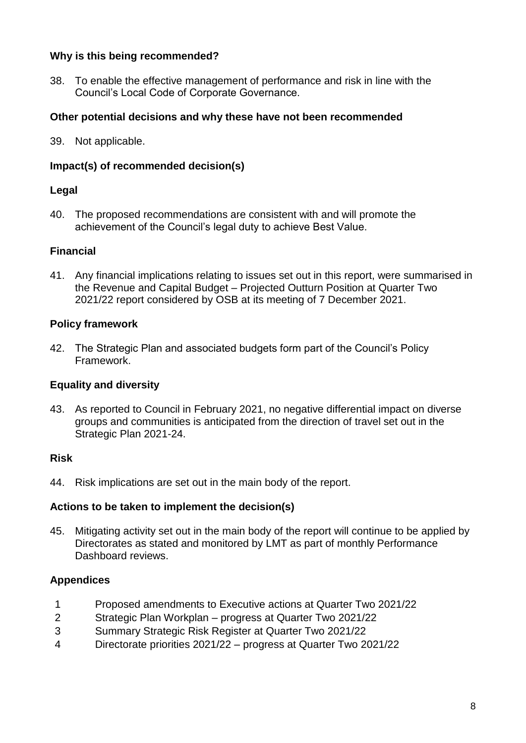## **Why is this being recommended?**

38. To enable the effective management of performance and risk in line with the Council's Local Code of Corporate Governance.

## **Other potential decisions and why these have not been recommended**

39. Not applicable.

## **Impact(s) of recommended decision(s)**

#### **Legal**

40. The proposed recommendations are consistent with and will promote the achievement of the Council's legal duty to achieve Best Value.

#### **Financial**

41. Any financial implications relating to issues set out in this report, were summarised in the Revenue and Capital Budget – Projected Outturn Position at Quarter Two 2021/22 report considered by OSB at its meeting of 7 December 2021.

#### **Policy framework**

42. The Strategic Plan and associated budgets form part of the Council's Policy Framework.

## **Equality and diversity**

43. As reported to Council in February 2021, no negative differential impact on diverse groups and communities is anticipated from the direction of travel set out in the Strategic Plan 2021-24.

#### **Risk**

44. Risk implications are set out in the main body of the report.

#### **Actions to be taken to implement the decision(s)**

45. Mitigating activity set out in the main body of the report will continue to be applied by Directorates as stated and monitored by LMT as part of monthly Performance Dashboard reviews.

#### **Appendices**

- 1 Proposed amendments to Executive actions at Quarter Two 2021/22
- 2 Strategic Plan Workplan progress at Quarter Two 2021/22
- 3 Summary Strategic Risk Register at Quarter Two 2021/22
- 4 Directorate priorities 2021/22 progress at Quarter Two 2021/22